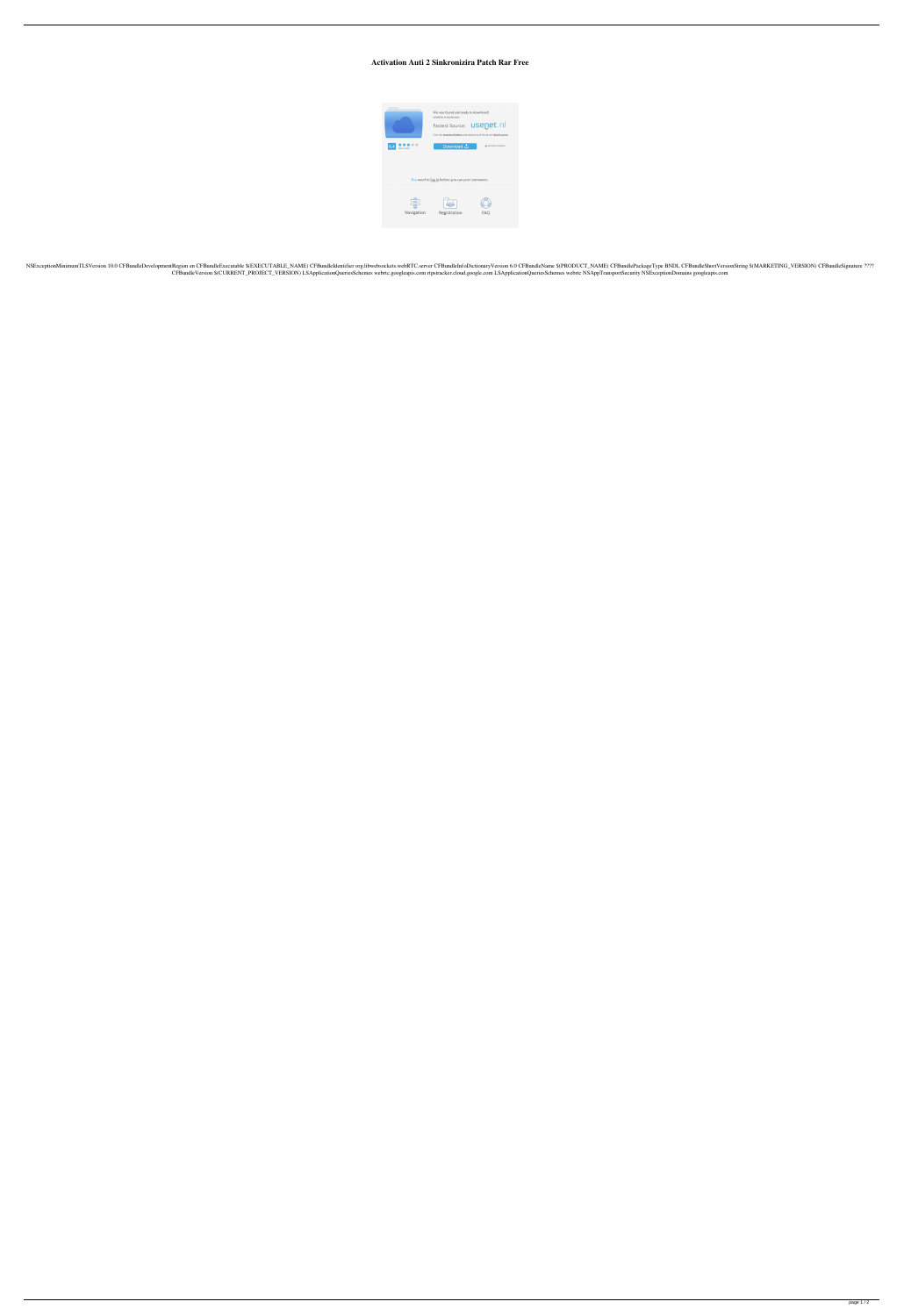## **Activation Auti 2 Sinkronizira Patch Rar Free**



NSExceptionMinimumTLSVersion 10.0 CFBundleDevelopmentRegion en CFBundleExecutable \$(EXECUTABLE\_NAME) CFBundleIdentifier org.libwebsockets.webRTC.server CFBundleInfoDictionaryVersion 6.0 CFBundleName \$(PRODUCT\_NAME) CFBundl CFBundleVersion \$(CURRENT\_PROJECT\_VERSION) LSApplicationQueriesSchemes webrtc.googleapis.com rtpstracker.cloud.google.com LSApplicationQueriesSchemes webrtc NSAppTransportSecurity NSExceptionDomains googleapis.com